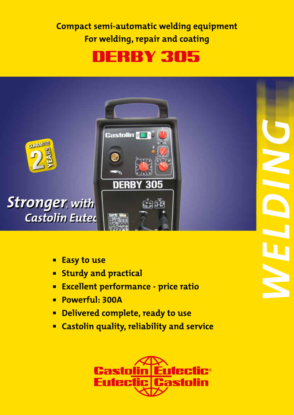**Compact semi-automatic welding equipment For welding, repair and coating**

# DERBY 305



- **Easy to use**
- **Example 1 Sturdy and practical**
- **Excellent performance price ratio**
- <sup>n</sup> **Powerful: 300A**
- **Example Delivered complete, ready to use**
- <sup>n</sup> **Castolin quality, reliability and service**